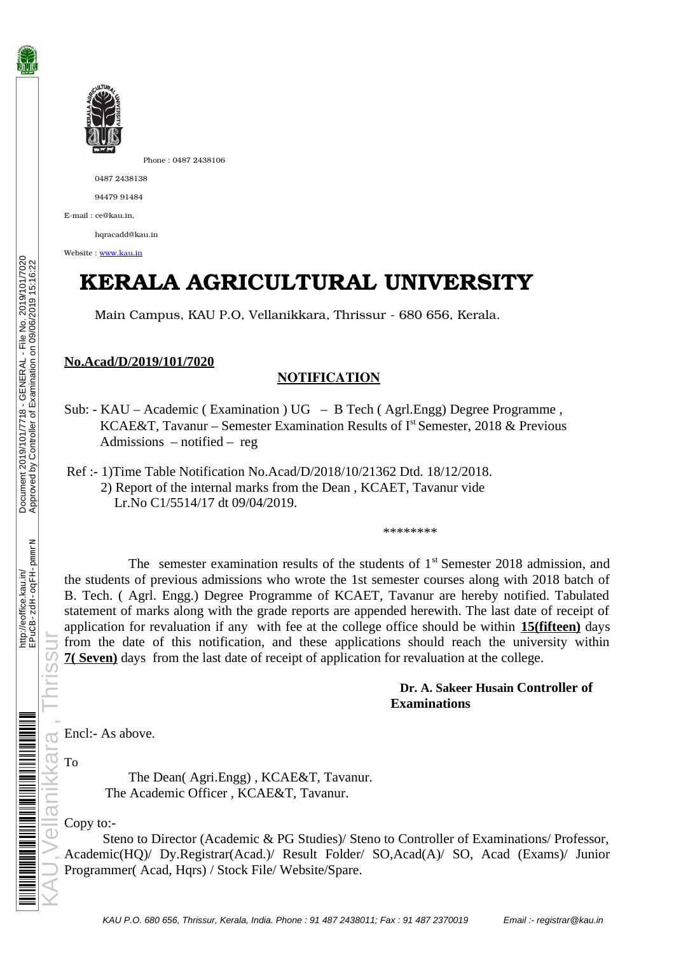

Phone : 0487 2438106

0487 2438138

94479 91484

Email : ce@kau.in,

horacadd@kau.in

Website : [www.kau.in](http://www.kau.in/)

## **KERALA AGRICULTURAL UNIVERSITY**

Main Campus, KAU P.O, Vellanikkara, Thrissur - 680 656, Kerala.

## **No.Acad/D/2019/101/7020**

## NOTIFICATION

**SUB: Acad/D/2019/101/7020**<br>
Main Campus, KAU P.O, Vellanikkara, Thrissur - 680 656, Kerala.<br>
Sub: - KAU – Academic ( Examination ) UG – B Tech ( Agrl.Engg) Degree Programme ,<br>
E - Sub: - KAU – Academic ( Examination ) UG KCAE&T, Tavanur – Semester Examination Results of I<sup>st</sup> Semester, 2018 & Previous Admissions – notified – reg

 Ref :- 1)Time Table Notification No.Acad/D/2018/10/21362 Dtd. 18/12/2018. 2) Report of the internal marks from the Dean , KCAET, Tavanur vide Lr.No C1/5514/17 dt 09/04/2019.

The semester examination results of the students of  $1<sup>st</sup>$  Semester 2018 admission, and the students of previous admissions who wrote the 1st semester courses along with 2018 batch of B. Tech. ( Agrl. Engg.) Degree Programme of KCAET, Tavanur are hereby notified. Tabulated statement of marks along with the grade reports are appended herewith. The last date of receipt of application for revaluation if any with fee at the college office should be within **15(fifteen)** days from the date of this notification, and these applications should reach the university within **7( Seven)** days from the last date of receipt of application for revaluation at the college.

\*\*\*\*\*\*\*\*

## **Dr. A. Sakeer Husain Controller of Examinations**

Encl:- As above.

To

 $\overline{a}$  $\overline{O}$ 

ellar

The Dean( Agri.Engg) , KCAE&T, Tavanur. The Academic Officer , KCAE&T, Tavanur.

Copy to:-

 Steno to Director (Academic & PG Studies)/ Steno to Controller of Examinations/ Professor, Academic(HQ)/ Dy.Registrar(Acad.)/ Result Folder/ SO,Acad(A)/ SO, Acad (Exams)/ Junior Programmer( Acad, Hqrs) / Stock File/ Website/Spare.